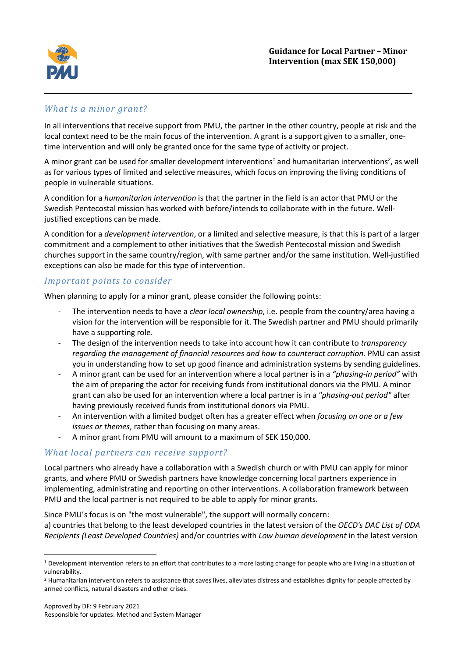

## *What is a minor grant?*

In all interventions that receive support from PMU, the partner in the other country, people at risk and the local context need to be the main focus of the intervention. A grant is a support given to a smaller, onetime intervention and will only be granted once for the same type of activity or project.

A minor grant can be used for smaller development interventions*<sup>1</sup>* and humanitarian interventions*<sup>2</sup>* , as well as for various types of limited and selective measures, which focus on improving the living conditions of people in vulnerable situations.

A condition for a *humanitarian intervention* is that the partner in the field is an actor that PMU or the Swedish Pentecostal mission has worked with before/intends to collaborate with in the future. Welljustified exceptions can be made.

A condition for a *development intervention*, or a limited and selective measure, is that this is part of a larger commitment and a complement to other initiatives that the Swedish Pentecostal mission and Swedish churches support in the same country/region, with same partner and/or the same institution. Well-justified exceptions can also be made for this type of intervention.

### *Important points to consider*

When planning to apply for a minor grant, please consider the following points:

- The intervention needs to have a *clear local ownership*, i.e. people from the country/area having a vision for the intervention will be responsible for it. The Swedish partner and PMU should primarily have a supporting role.
- The design of the intervention needs to take into account how it can contribute to *transparency regarding the management of financial resources and how to counteract corruption.* PMU can assist you in understanding how to set up good finance and administration systems by sending guidelines.
- A minor grant can be used for an intervention where a local partner is in a *"phasing-in period"* with the aim of preparing the actor for receiving funds from institutional donors via the PMU. A minor grant can also be used for an intervention where a local partner is in a *"phasing-out period"* after having previously received funds from institutional donors via PMU.
- An intervention with a limited budget often has a greater effect when *focusing on one or a few issues or themes*, rather than focusing on many areas.
- A minor grant from PMU will amount to a maximum of SEK 150,000.

# *What local partners can receive support?*

Local partners who already have a collaboration with a Swedish church or with PMU can apply for minor grants, and where PMU or Swedish partners have knowledge concerning local partners experience in implementing, administrating and reporting on other interventions. A collaboration framework between PMU and the local partner is not required to be able to apply for minor grants.

Since PMU's focus is on "the most vulnerable", the support will normally concern: a) countries that belong to the least developed countries in the latest version of the *OECD's DAC List of ODA Recipients (Least Developed Countries)* and/or countries with *Low human development* in the latest version

<sup>&</sup>lt;sup>1</sup> Development intervention refers to an effort that contributes to a more lasting change for people who are living in a situation of vulnerability.

<sup>&</sup>lt;sup>2</sup> Humanitarian intervention refers to assistance that saves lives, alleviates distress and establishes dignity for people affected by armed conflicts, natural disasters and other crises.